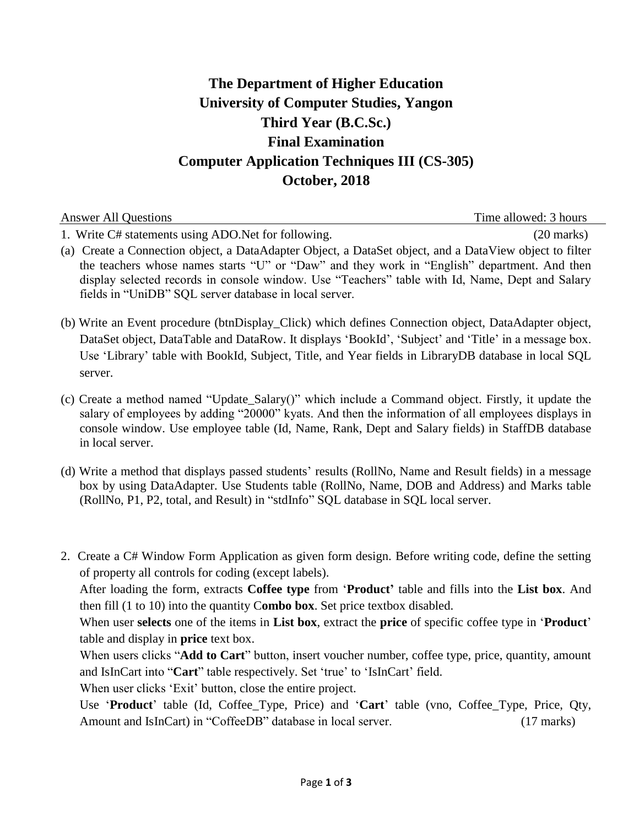## **The Department of Higher Education University of Computer Studies, Yangon Third Year (B.C.Sc.) Final Examination Computer Application Techniques III (CS-305) October, 2018**

| <b>Answer All Questions</b>                                                                             | Time allowed: 3 hours |
|---------------------------------------------------------------------------------------------------------|-----------------------|
| 1. Write C# statements using ADO. Net for following.                                                    | $(20 \text{ marks})$  |
| (a) Create a Connection object, a DataAdapter Object, a DataSet object, and a DataView object to filter |                       |
| the teachers whose names starts "U" or "Daw" and they work in "English" department. And then            |                       |
| display selected records in console window. Use "Teachers" table with Id, Name, Dept and Salary         |                       |
| fields in "UniDB" SQL server database in local server.                                                  |                       |

(b) Write an Event procedure (btnDisplay\_Click) which defines Connection object, DataAdapter object, DataSet object, DataTable and DataRow. It displays 'BookId', 'Subject' and 'Title' in a message box. Use "Library" table with BookId, Subject, Title, and Year fields in LibraryDB database in local SQL server.

- (c) Create a method named "Update\_Salary()" which include a Command object. Firstly, it update the salary of employees by adding "20000" kyats. And then the information of all employees displays in console window. Use employee table (Id, Name, Rank, Dept and Salary fields) in StaffDB database in local server.
- (d) Write a method that displays passed students" results (RollNo, Name and Result fields) in a message box by using DataAdapter. Use Students table (RollNo, Name, DOB and Address) and Marks table (RollNo, P1, P2, total, and Result) in "stdInfo" SQL database in SQL local server.
- 2. Create a C# Window Form Application as given form design. Before writing code, define the setting of property all controls for coding (except labels).

After loading the form, extracts **Coffee type** from "**Product'** table and fills into the **List box**. And then fill (1 to 10) into the quantity C**ombo box**. Set price textbox disabled.

When user **selects** one of the items in **List box**, extract the **price** of specific coffee type in **'Product'** table and display in **price** text box.

When users clicks "**Add to Cart**" button, insert voucher number, coffee type, price, quantity, amount and IsInCart into "Cart" table respectively. Set 'true' to 'IsInCart' field.

When user clicks 'Exit' button, close the entire project.

Use "**Product**" table (Id, Coffee\_Type, Price) and "**Cart**" table (vno, Coffee\_Type, Price, Qty, Amount and IsInCart) in "CoffeeDB" database in local server. (17 marks)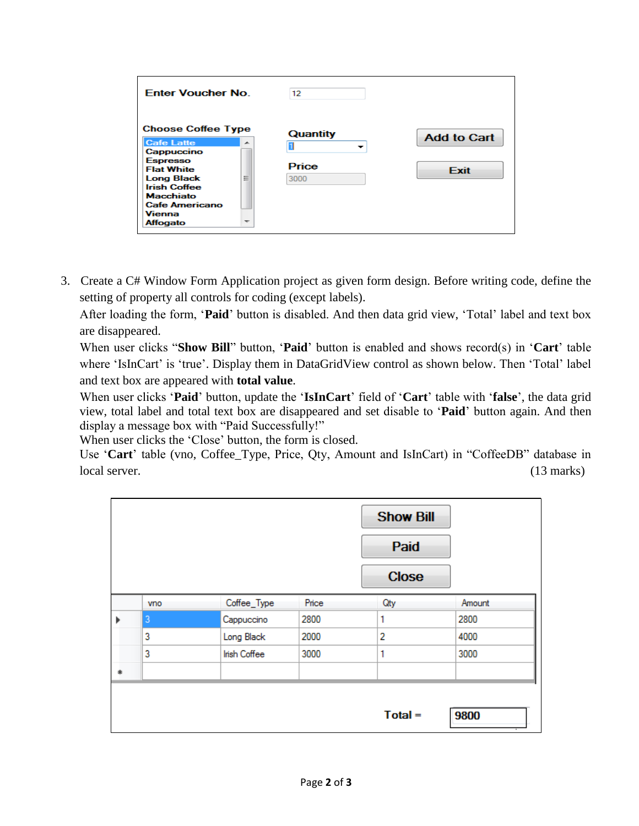| <b>Enter Voucher No.</b>                                                                                                                                                                                                                                   | 12                        |                                   |
|------------------------------------------------------------------------------------------------------------------------------------------------------------------------------------------------------------------------------------------------------------|---------------------------|-----------------------------------|
| <b>Choose Coffee Type</b><br><b>Cafe Latte</b><br>A.<br>Cappuccino<br><b>Espresso</b><br><b>Flat White</b><br>Ξ<br><b>Long Black</b><br><b>Irish Coffee</b><br><b>Macchiato</b><br><b>Cafe Americano</b><br>Vienna<br>Affogato<br>$\overline{\phantom{a}}$ | Quantity<br>Price<br>3000 | <b>Add to Cart</b><br><b>Fxit</b> |

3. Create a C# Window Form Application project as given form design. Before writing code, define the setting of property all controls for coding (except labels).

After loading the form, "**Paid**" button is disabled. And then data grid view, "Total" label and text box are disappeared.

When user clicks "**Show Bill**" button, "**Paid**" button is enabled and shows record(s) in "**Cart**" table where 'IsInCart' is 'true'. Display them in DataGridView control as shown below. Then 'Total' label and text box are appeared with **total value**.

When user clicks "**Paid**" button, update the "**IsInCart**" field of "**Cart**" table with "**false**", the data grid view, total label and total text box are disappeared and set disable to "**Paid**" button again. And then display a message box with "Paid Successfully!"

When user clicks the 'Close' button, the form is closed.

Use "**Cart**" table (vno, Coffee\_Type, Price, Qty, Amount and IsInCart) in "CoffeeDB" database in local server. (13 marks)

|    |            |              |       | <b>Show Bill</b> |        |
|----|------------|--------------|-------|------------------|--------|
|    |            |              |       | Paid             |        |
|    |            |              |       | <b>Close</b>     |        |
|    | <b>Vno</b> | Coffee_Type  | Price | Qty              | Amount |
|    | 3          | Cappuccino   | 2800  | 1                | 2800   |
|    | 3          | Long Black   | 2000  | $\overline{2}$   | 4000   |
|    | 3          | Irish Coffee | 3000  | 1                | 3000   |
| a, |            |              |       |                  |        |
|    |            |              |       | $Total =$        | 9800   |